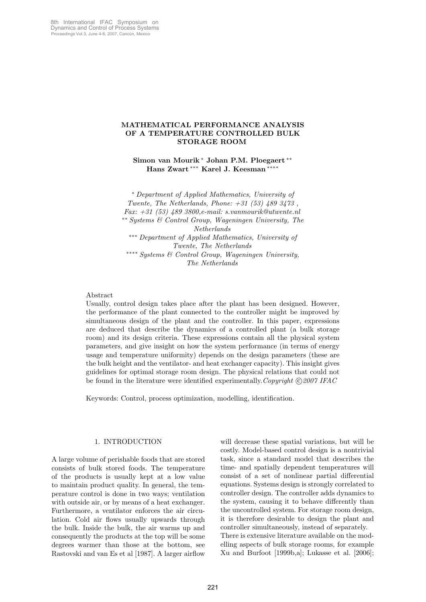# MATHEMATICAL PERFORMANCE ANALYSIS OF A TEMPERATURE CONTROLLED BULK STORAGE ROOM

Simon van Mourik <sup>∗</sup> Johan P.M. Ploegaert ∗∗ Hans Zwart \*\*\* Karel J. Keesman<sup>\*</sup>

<sup>∗</sup> Department of Applied Mathematics, University of Twente, The Netherlands, Phone:  $+31$  (53)  $489$   $3473$ , Fax: +31 (53) 489 3800,e-mail: s.vanmourik@utwente.nl ∗∗ Systems & Control Group, Wageningen University, The Netherlands ∗∗∗ Department of Applied Mathematics, University of Twente, The Netherlands ∗∗∗∗ Systems & Control Group, Wageningen University, The Netherlands

# Abstract

Usually, control design takes place after the plant has been designed. However, the performance of the plant connected to the controller might be improved by simultaneous design of the plant and the controller. In this paper, expressions are deduced that describe the dynamics of a controlled plant (a bulk storage room) and its design criteria. These expressions contain all the physical system parameters, and give insight on how the system performance (in terms of energy usage and temperature uniformity) depends on the design parameters (these are the bulk height and the ventilator- and heat exchanger capacity). This insight gives guidelines for optimal storage room design. The physical relations that could not be found in the literature were identified experimentally. Copyright  $\odot$  2007 IFAC

Keywords: Control, process optimization, modelling, identification.

# 1. INTRODUCTION

A large volume of perishable foods that are stored consists of bulk stored foods. The temperature of the products is usually kept at a low value to maintain product quality. In general, the temperature control is done in two ways; ventilation with outside air, or by means of a heat exchanger. Furthermore, a ventilator enforces the air circulation. Cold air flows usually upwards through the bulk. Inside the bulk, the air warms up and consequently the products at the top will be some degrees warmer than those at the bottom, see Rastovski and van Es et al [1987]. A larger airflow

will decrease these spatial variations, but will be costly. Model-based control design is a nontrivial task, since a standard model that describes the time- and spatially dependent temperatures will consist of a set of nonlinear partial differential equations. Systems design is strongly correlated to controller design. The controller adds dynamics to the system, causing it to behave differently than the uncontrolled system. For storage room design, it is therefore desirable to design the plant and controller simultaneously, instead of separately. There is extensive literature available on the modelling aspects of bulk storage rooms, for example Xu and Burfoot [1999b,a]; Lukasse et al. [2006];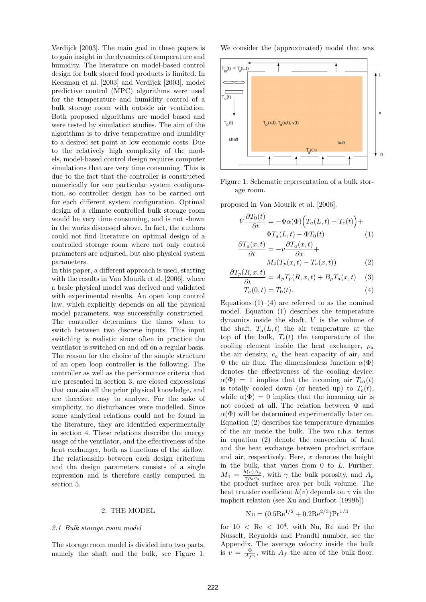Verdijck [2003]. The main goal in these papers is to gain insight in the dynamics of temperature and humidity. The literature on model-based control design for bulk stored food products is limited. In Keesman et al. [2003] and Verdijck [2003], model predictive control (MPC) algorithms were used for the temperature and humidity control of a bulk storage room with outside air ventilation. Both proposed algorithms are model based and were tested by simulation studies. The aim of the algorithms is to drive temperature and humidity to a desired set point at low economic costs. Due to the relatively high complexity of the models, model-based control design requires computer simulations that are very time consuming. This is due to the fact that the controller is constructed numerically for one particular system configuration, so controller design has to be carried out for each different system configuration. Optimal design of a climate controlled bulk storage room would be very time consuming, and is not shown in the works discussed above. In fact, the authors could not find literature on optimal design of a controlled storage room where not only control parameters are adjusted, but also physical system parameters.

In this paper, a different approach is used, starting with the results in Van Mourik et al. [2006], where a basic physical model was derived and validated with experimental results. An open loop control law, which explicitly depends on all the physical model parameters, was successfully constructed. The controller determines the times when to switch between two discrete inputs. This input switching is realistic since often in practice the ventilator is switched on and off on a regular basis. The reason for the choice of the simple structure of an open loop controller is the following. The controller as well as the performance criteria that are presented in section 3, are closed expressions that contain all the prior physical knowledge, and are therefore easy to analyze. For the sake of simplicity, no disturbances were modelled. Since some analytical relations could not be found in the literature, they are identified experimentally in section 4. These relations describe the energy usage of the ventilator, and the effectiveness of the heat exchanger, both as functions of the airflow. The relationship between each design criterium and the design parameters consists of a single expression and is therefore easily computed in section 5.

#### 2. THE MODEL

### 2.1 Bulk storage room model

The storage room model is divided into two parts, namely the shaft and the bulk, see Figure 1. We consider the (approximated) model that was



Figure 1. Schematic representation of a bulk storage room.

proposed in Van Mourik et al. [2006].

$$
V\frac{\partial T_0(t)}{\partial t} = -\Phi\alpha(\Phi)\Big(T_a(L,t) - T_c(t)\Big) +
$$
  
 
$$
\Phi T_a(L,t) - \Phi T_0(t) \qquad (1)
$$
  
 
$$
\partial T_a(x,t) \qquad \partial T_a(x,t)
$$

$$
\frac{\partial^2 u(x, v)}{\partial t} = -v \frac{\partial^2 u(x, v)}{\partial x} +
$$
  

$$
M_4(T_p(x, t) - T_a(x, t))
$$
 (2)

$$
\frac{\partial T_p(R, x, t)}{\partial t} = A_p T_p(R, x, t) + B_p T_a(x, t) \quad (3)
$$

$$
T_a(0,t) = T_0(t).
$$
 (4)

Equations  $(1)$ – $(4)$  are referred to as the nominal model. Equation (1) describes the temperature dynamics inside the shaft. V is the volume of the shaft,  $T_a(L, t)$  the air temperature at the top of the bulk,  $T_c(t)$  the temperature of the cooling element inside the heat exchanger,  $\rho_a$ the air density,  $c_a$  the heat capacity of air, and  $\Phi$  the air flux. The dimensionless function  $\alpha(\Phi)$ denotes the effectiveness of the cooling device:  $\alpha(\Phi) = 1$  implies that the incoming air  $T_{in}(t)$ is totally cooled down (or heated up) to  $T_c(t)$ , while  $\alpha(\Phi) = 0$  implies that the incoming air is not cooled at all. The relation between Φ and  $\alpha(\Phi)$  will be determined experimentally later on. Equation (2) describes the temperature dynamics of the air inside the bulk. The two r.h.s. terms in equation (2) denote the convection of heat and the heat exchange between product surface and air, respectively. Here,  $x$  denotes the height in the bulk, that varies from 0 to L. Further,  $M_4 = \frac{h(v)A_p}{\gamma \rho_0 c_0}$  $\frac{n(v)A_p}{\gamma \rho_a c_a}$ , with  $\gamma$  the bulk porosity, and  $A_p$ the product surface area per bulk volume. The heat transfer coefficient  $h(v)$  depends on v via the implicit relation (see Xu and Burfoot [1999b])

$$
Nu = (0.5 \text{Re}^{1/2} + 0.2 \text{Re}^{2/3}) \text{Pr}^{1/3}
$$

for  $10 \leq \text{Re} \leq 10^4$ , with Nu, Re and Pr the Nusselt, Reynolds and Prandtl number, see the Appendix. The average velocity inside the bulk is  $v = \frac{\Phi}{A_f \gamma}$ , with  $A_f$  the area of the bulk floor.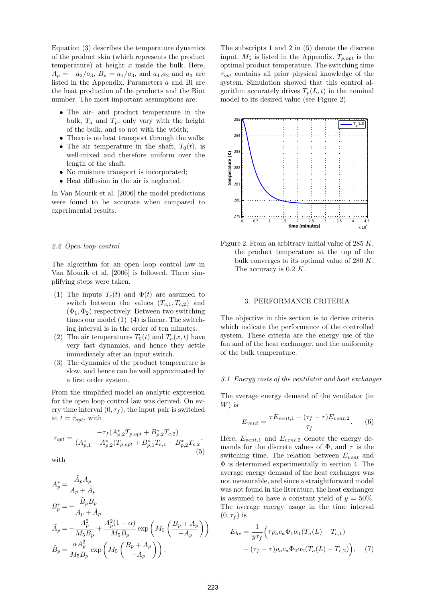Equation (3) describes the temperature dynamics of the product skin (which represents the product temperature) at height  $x$  inside the bulk. Here,  $A_p = -a_2/a_3$ ,  $B_p = a_1/a_3$ , and  $a_1,a_2$  and  $a_3$  are listed in the Appendix. Parameters a and Bi are the heat production of the products and the Biot number. The most important assumptions are:

- The air- and product temperature in the bulk,  $T_a$  and  $T_p$ , only vary with the height of the bulk, and so not with the width;
- There is no heat transport through the walls;
- The air temperature in the shaft,  $T_0(t)$ , is well-mixed and therefore uniform over the length of the shaft;
- No moisture transport is incorporated;
- Heat diffusion in the air is neglected.

In Van Mourik et al. [2006] the model predictions were found to be accurate when compared to experimental results.

### 2.2 Open loop control

The algorithm for an open loop control law in Van Mourik et al. [2006] is followed. Three simplifying steps were taken.

- (1) The inputs  $T_c(t)$  and  $\Phi(t)$  are assumed to switch between the values  $(T_{c,1}, T_{c,2})$  and  $(\Phi_1, \Phi_2)$  respectively. Between two switching times our model  $(1)–(4)$  is linear. The switching interval is in the order of ten minutes.
- (2) The air temperatures  $T_0(t)$  and  $T_a(x,t)$  have very fast dynamics, and hence they settle immediately after an input switch.
- (3) The dynamics of the product temperature is slow, and hence can be well approximated by a first order system.

From the simplified model an analytic expression for the open loop control law was derived. On every time interval  $(0, \tau_f)$ , the input pair is switched at  $t = \tau_{opt}$ , with

$$
\tau_{opt} = \frac{-\tau_f (A_{p,2}^* T_{p,opt} + B_{p,2}^* T_{c,2})}{(A_{p,1}^* - A_{p,2}^*) T_{p,opt} + B_{p,1}^* T_{c,1} - B_{p,2}^* T_{c,2}},\tag{5}
$$

with

 $\tilde{ }$ 

$$
A_p^* = \frac{A_p A_p}{A_p + \tilde{A}_p}
$$
  
\n
$$
B_p^* = -\frac{\tilde{B}_p B_p}{A_p + \tilde{A}_p}
$$
  
\n
$$
\tilde{A}_p = -\frac{A_p^2}{M_5 B_p} + \frac{A_p^2 (1 - \alpha)}{M_5 B_p} \exp\left(M_5 \left(\frac{B_p + A_p}{-A_p}\right)\right)
$$
  
\n
$$
\tilde{B}_p = \frac{\alpha A_p^2}{M_5 B_p} \exp\left(M_5 \left(\frac{B_p + A_p}{-A_p}\right)\right).
$$

The subscripts 1 and 2 in (5) denote the discrete input.  $M_5$  is listed in the Appendix.  $T_{p,opt}$  is the optimal product temperature. The switching time  $\tau_{opt}$  contains all prior physical knowledge of the system. Simulation showed that this control algorithm accurately drives  $T_p(L, t)$  in the nominal model to its desired value (see Figure 2).



Figure 2. From an arbitrary initial value of 285  $K$ , the product temperature at the top of the bulk converges to its optimal value of 280 K. The accuracy is 0.2 K.

# 3. PERFORMANCE CRITERIA

The objective in this section is to derive criteria which indicate the performance of the controlled system. These criteria are the energy use of the fan and of the heat exchanger, and the uniformity of the bulk temperature.

### 3.1 Energy costs of the ventilator and heat exchanger

The average energy demand of the ventilator (in  $W$ ) is

$$
E_{vent} = \frac{\tau E_{vent,1} + (\tau_f - \tau) E_{vent,2}}{\tau_f}.
$$
 (6)

Here,  $E_{vent,1}$  and  $E_{vent,2}$  denote the energy demands for the discrete values of  $\Phi$ , and  $\tau$  is the switching time. The relation between  $E_{vent}$  and Φ is determined experimentally in section 4. The average energy demand of the heat exchanger was not measurable, and since a straightforward model was not found in the literature, the heat exchanger is assumed to have a constant yield of  $y = 50\%$ . The average energy usage in the time interval  $(0, \tau_f)$  is

$$
E_{he} = \frac{1}{y\tau_f} \Big( \tau \rho_a c_a \Phi_1 \alpha_1 (T_a(L) - T_{c,1}) + (\tau_f - \tau) \rho_a c_a \Phi_2 \alpha_2 (T_a(L) - T_{c,2}) \Big), \quad (7)
$$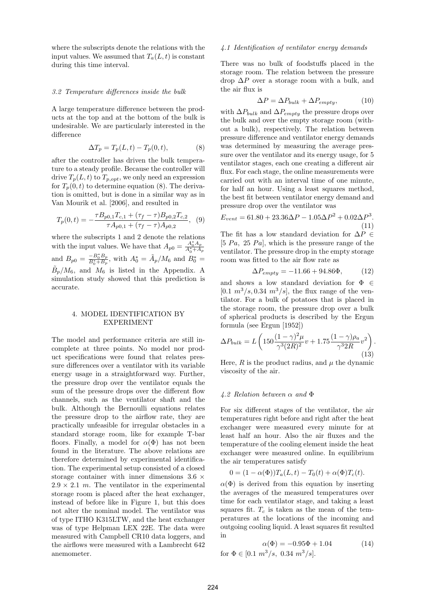where the subscripts denote the relations with the input values. We assumed that  $T_a(L, t)$  is constant during this time interval.

### 3.2 Temperature differences inside the bulk

A large temperature difference between the products at the top and at the bottom of the bulk is undesirable. We are particularly interested in the difference

$$
\Delta T_p = T_p(L, t) - T_p(0, t),\tag{8}
$$

after the controller has driven the bulk temperature to a steady profile. Because the controller will drive  $T_p(L, t)$  to  $T_{p, opt}$ , we only need an expression for  $T_p(0, t)$  to determine equation (8). The derivation is omitted, but is done in a similar way as in Van Mourik et al. [2006], and resulted in

$$
T_p(0,t) = -\frac{\tau B_{p0,1} T_{c,1} + (\tau_f - \tau) B_{p0,2} T_{c,2}}{\tau A_{p0,1} + (\tau_f - \tau) A_{p0,2}}, \tag{9}
$$

where the subscripts 1 and 2 denote the relations with the input values. We have that  $A_{p0} = \frac{A_0^* A_p}{A_0^* + A_p}$ and  $B_{p0} = \frac{-B_0^* B_p}{B_0^* + B_p}$ , with  $A_0^* = \tilde{A}_p / M_6$  and  $B_0^* =$  $\tilde{B}_p/M_6$ , and  $M_6$  is listed in the Appendix. A simulation study showed that this prediction is accurate.

# 4. MODEL IDENTIFICATION BY EXPERIMENT

The model and performance criteria are still incomplete at three points. No model nor product specifications were found that relates pressure differences over a ventilator with its variable energy usage in a straightforward way. Further, the pressure drop over the ventilator equals the sum of the pressure drops over the different flow channels, such as the ventilator shaft and the bulk. Although the Bernoulli equations relates the pressure drop to the airflow rate, they are practically unfeasible for irregular obstacles in a standard storage room, like for example T-bar floors. Finally, a model for  $\alpha(\Phi)$  has not been found in the literature. The above relations are therefore determined by experimental identification. The experimental setup consisted of a closed storage container with inner dimensions  $3.6 \times$  $2.9 \times 2.1$  m. The ventilator in the experimental storage room is placed after the heat exchanger, instead of before like in Figure 1, but this does not alter the nominal model. The ventilator was of type ITHO K315LTW, and the heat exchanger was of type Helpman LEX 22E. The data were measured with Campbell CR10 data loggers, and the airflows were measured with a Lambrecht 642 anemometer.

#### 4.1 Identification of ventilator energy demands

There was no bulk of foodstuffs placed in the storage room. The relation between the pressure drop  $\Delta P$  over a storage room with a bulk, and the air flux is

$$
\Delta P = \Delta P_{bulk} + \Delta P_{empty},\tag{10}
$$

with  $\Delta P_{bulk}$  and  $\Delta P_{empty}$  the pressure drops over the bulk and over the empty storage room (without a bulk), respectively. The relation between pressure difference and ventilator energy demands was determined by measuring the average pressure over the ventilator and its energy usage, for 5 ventilator stages, each one creating a different air flux. For each stage, the online measurements were carried out with an interval time of one minute, for half an hour. Using a least squares method, the best fit between ventilator energy demand and pressure drop over the ventilator was

$$
E_{vent} = 61.80 + 23.36\Delta P - 1.05\Delta P^2 + 0.02\Delta P^3.
$$
\n(11)

The fit has a low standard deviation for  $\Delta P \in$ [5  $Pa$ , 25  $Pa$ ], which is the pressure range of the ventilator. The pressure drop in the empty storage room was fitted to the air flow rate as

$$
\Delta P_{empty} = -11.66 + 94.86\Phi, \tag{12}
$$

and shows a low standard deviation for  $\Phi \in$  $[0.1 \, m^3/s, 0.34 \, m^3/s]$ , the flux range of the ventilator. For a bulk of potatoes that is placed in the storage room, the pressure drop over a bulk of spherical products is described by the Ergun formula (see Ergun [1952])

$$
\Delta P_{bulk} = L \left( 150 \frac{(1 - \gamma)^2 \mu}{\gamma^3 (2R)^2} v + 1.75 \frac{(1 - \gamma) \rho_a}{\gamma^3 2R} v^2 \right). \tag{13}
$$

Here,  $R$  is the product radius, and  $\mu$  the dynamic viscosity of the air.

### 4.2 Relation between  $\alpha$  and  $\Phi$

For six different stages of the ventilator, the air temperatures right before and right after the heat exchanger were measured every minute for at least half an hour. Also the air fluxes and the temperature of the cooling element inside the heat exchanger were measured online. In equilibrium the air temperatures satisfy

$$
0 = (1 - \alpha(\Phi))T_a(L, t) - T_0(t) + \alpha(\Phi)T_c(t).
$$

 $\alpha(\Phi)$  is derived from this equation by inserting the averages of the measured temperatures over time for each ventilator stage, and taking a least squares fit.  $T_c$  is taken as the mean of the temperatures at the locations of the incoming and outgoing cooling liquid. A least squares fit resulted in

$$
\alpha(\Phi) = -0.95\Phi + 1.04
$$
for  $\Phi \in [0.1 \, m^3/s, \, 0.34 \, m^3/s].$  (14)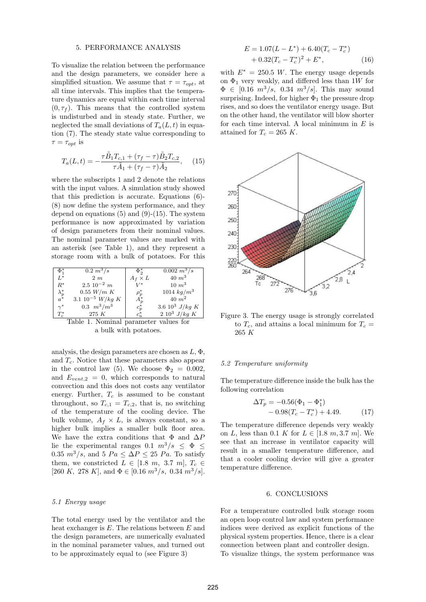#### 5. PERFORMANCE ANALYSIS

To visualize the relation between the performance and the design parameters, we consider here a simplified situation. We assume that  $\tau = \tau_{\text{out}}$ , at all time intervals. This implies that the temperature dynamics are equal within each time interval  $(0, \tau_f)$ . This means that the controlled system is undisturbed and in steady state. Further, we neglected the small deviations of  $T_a(L, t)$  in equation (7). The steady state value corresponding to  $\tau = \tau_{opt}$  is

$$
T_a(L,t) = -\frac{\tau \tilde{B}_1 T_{c,1} + (\tau_f - \tau) \tilde{B}_2 T_{c,2}}{\tau \tilde{A}_1 + (\tau_f - \tau) \tilde{A}_2}, \quad (15)
$$

where the subscripts 1 and 2 denote the relations with the input values. A simulation study showed that this prediction is accurate. Equations (6)- (8) now define the system performance, and they depend on equations  $(5)$  and  $(9)-(15)$ . The system performance is now approximated by variation of design parameters from their nominal values. The nominal parameter values are marked with an asterisk (see Table 1), and they represent a storage room with a bulk of potatoes. For this

| $\Phi^*_1$                         | $0.2 \frac{m^3}{s}$   | $\Phi_{\alpha}^*$ | $0.002 \frac{m^3}{s}$ |
|------------------------------------|-----------------------|-------------------|-----------------------|
| $L^*$                              | 2m                    | $A_f \times L$    | $40 \; m^3$           |
| $R^*$                              | $2.5 \; 10^{-2} \; m$ | $V^*$             | $10 \; m^3$           |
| $\frac{\lambda_p^*}{a^*}$          | $0.55$ W/m K          | $\rho_p^*$        | 1014 $kg/m^3$         |
|                                    | 3.1 $10^{-5}$ W/kg K  | $A_p^*$           | $40 \; m^2$           |
| $\gamma^*$                         | $0.3 \, m^3/m^3$      | $c_p^*$           | 3.6 $10^3$ J/kg K     |
| $T_c^*$                            | 275 K                 | $c_{\alpha}^*$    | $2\;10^3\; J/kg\;K$   |
| $\sim$<br>$\overline{\phantom{a}}$ |                       |                   |                       |

Table 1. Nominal parameter values for a bulk with potatoes.

analysis, the design parameters are chosen as  $L, \Phi$ , and  $T_c$ . Notice that these parameters also appear in the control law (5). We choose  $\Phi_2 = 0.002$ , and  $E_{vent,2} = 0$ , which corresponds to natural convection and this does not costs any ventilator energy. Further,  $T_c$  is assumed to be constant throughout, so  $T_{c,1} = T_{c,2}$ , that is, no switching of the temperature of the cooling device. The bulk volume,  $A_f \times L$ , is always constant, so a higher bulk implies a smaller bulk floor area. We have the extra conditions that  $\Phi$  and  $\Delta P$ lie the experimental ranges 0.1  $m^3/s \leq \Phi \leq$ 0.35  $m^3/s$ , and 5  $Pa \leq \Delta P \leq 25 Pa$ . To satisfy them, we constricted  $L \in [1.8 \, m, 3.7 \, m], T_c \in$ [260 K, 278 K], and  $\Phi \in [0.16 \; m^3/s, \; 0.34 \; m^3/s]$ .

#### 5.1 Energy usage

The total energy used by the ventilator and the heat exchanger is E. The relations between E and the design parameters, are numerically evaluated in the nominal parameter values, and turned out to be approximately equal to (see Figure 3)

$$
E = 1.07(L - L^*) + 6.40(T_c - T_c^*)
$$
  
+ 0.32(T\_c - T\_c^\*)<sup>2</sup> + E<sup>\*</sup>, (16)

with  $E^* = 250.5$  W. The energy usage depends on  $\Phi_1$  very weakly, and differed less than 1W for  $\Phi \in [0.16 \; m^3/s, \; 0.34 \; m^3/s]$ . This may sound surprising. Indeed, for higher  $\Phi_1$  the pressure drop rises, and so does the ventilator energy usage. But on the other hand, the ventilator will blow shorter for each time interval. A local minimum in  $E$  is attained for  $T_c = 265$  K.



Figure 3. The energy usage is strongly correlated to  $T_c$ , and attains a local minimum for  $T_c$  = 265 K

### 5.2 Temperature uniformity

The temperature difference inside the bulk has the following correlation

$$
\Delta T_p = -0.56(\Phi_1 - \Phi_1^*) - 0.98(T_c - T_c^*) + 4.49.
$$
 (17)

The temperature difference depends very weakly on L, less than 0.1 K for  $L \in [1.8 \, m, 3.7 \, m]$ . We see that an increase in ventilator capacity will result in a smaller temperature difference, and that a cooler cooling device will give a greater temperature difference.

### 6. CONCLUSIONS

For a temperature controlled bulk storage room an open loop control law and system performance indices were derived as explicit functions of the physical system properties. Hence, there is a clear connection between plant and controller design.

To visualize things, the system performance was